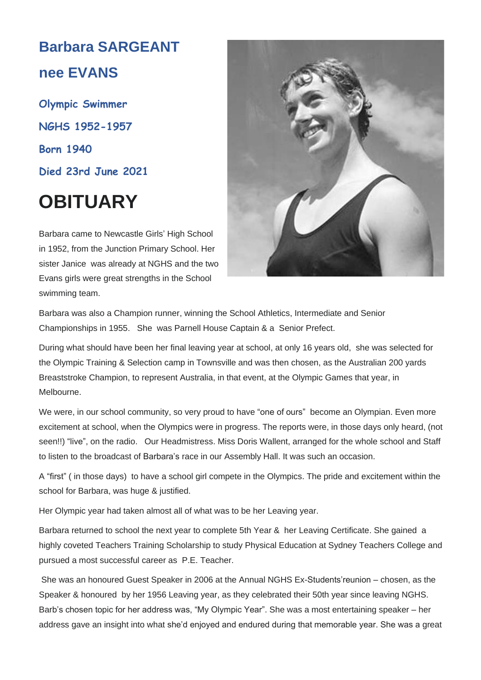# **Barbara SARGEANT nee EVANS**

**Olympic Swimmer NGHS 1952-1957 Born 1940 Died 23rd June 2021**

# **OBITUARY**

Barbara came to Newcastle Girls' High School in 1952, from the Junction Primary School. Her sister Janice was already at NGHS and the two Evans girls were great strengths in the School swimming team.



Barbara was also a Champion runner, winning the School Athletics, Intermediate and Senior Championships in 1955. She was Parnell House Captain & a Senior Prefect.

During what should have been her final leaving year at school, at only 16 years old, she was selected for the Olympic Training & Selection camp in Townsville and was then chosen, as the Australian 200 yards Breaststroke Champion, to represent Australia, in that event, at the Olympic Games that year, in Melbourne.

We were, in our school community, so very proud to have "one of ours" become an Olympian. Even more excitement at school, when the Olympics were in progress. The reports were, in those days only heard, (not seen!!) "live", on the radio. Our Headmistress. Miss Doris Wallent, arranged for the whole school and Staff to listen to the broadcast of Barbara's race in our Assembly Hall. It was such an occasion.

A "first" ( in those days) to have a school girl compete in the Olympics. The pride and excitement within the school for Barbara, was huge & justified.

Her Olympic year had taken almost all of what was to be her Leaving year.

Barbara returned to school the next year to complete 5th Year & her Leaving Certificate. She gained a highly coveted Teachers Training Scholarship to study Physical Education at Sydney Teachers College and pursued a most successful career as P.E. Teacher.

She was an honoured Guest Speaker in 2006 at the Annual NGHS Ex-Students'reunion – chosen, as the Speaker & honoured by her 1956 Leaving year, as they celebrated their 50th year since leaving NGHS. Barb's chosen topic for her address was, "My Olympic Year". She was a most entertaining speaker – her address gave an insight into what she'd enjoyed and endured during that memorable year. She was a great